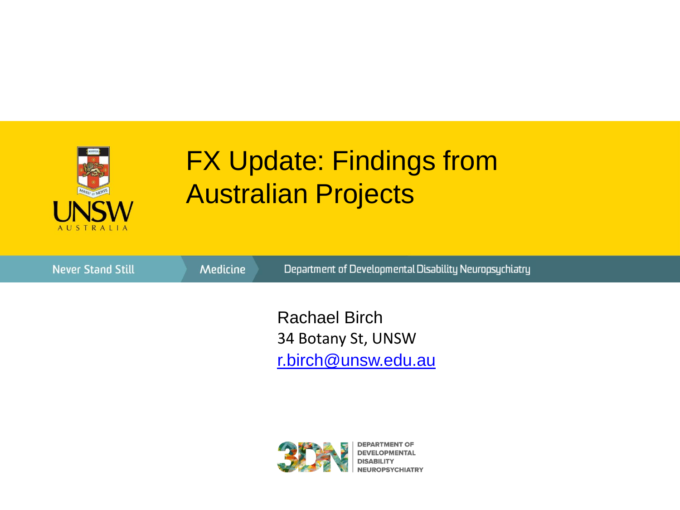

34 Botany St, UNSW Rachael Birch [r.birch@unsw.edu.au](mailto:email@unsw.edu.au)



**DEPARTMENT OF DEVELOPMENTAL NEUROPSYCHIATRY**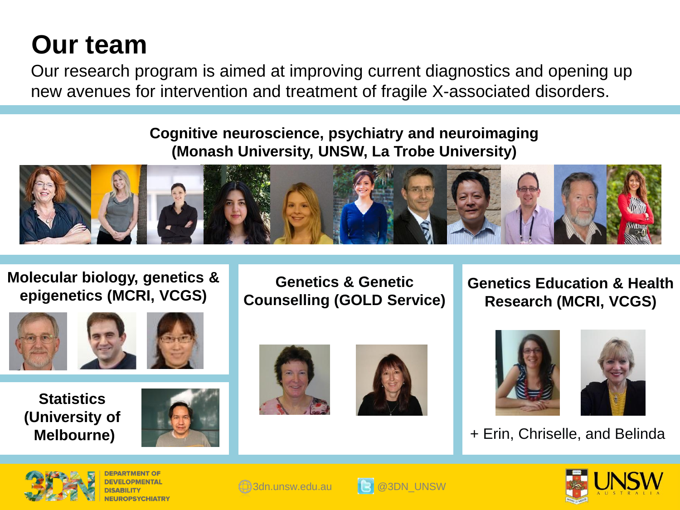## **Our team**

Our research program is aimed at improving current diagnostics and opening up new avenues for intervention and treatment of fragile X-associated disorders.

#### **Cognitive neuroscience, psychiatry and neuroimaging (Monash University, UNSW, La Trobe University)**



**Molecular biology, genetics & epigenetics (MCRI, VCGS)**





**Statistics (University of Melbourne)**



**Genetics & Genetic Counselling (GOLD Service)**







**Genetics Education & Health** 

**Research (MCRI, VCGS)**

+ Erin, Chriselle, and Belinda







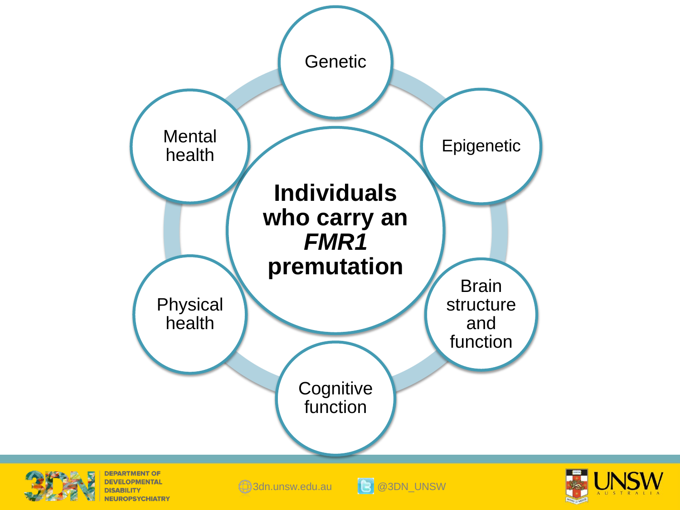





**NEUROPSYCHIATRY** 

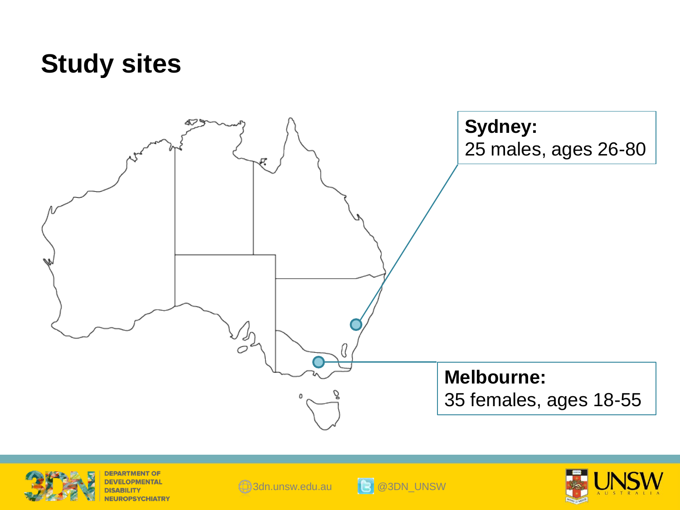### **Study sites**





**DEPARTMENT OF DEVELOPMENTAL NEUROPSYCHIATRY** 





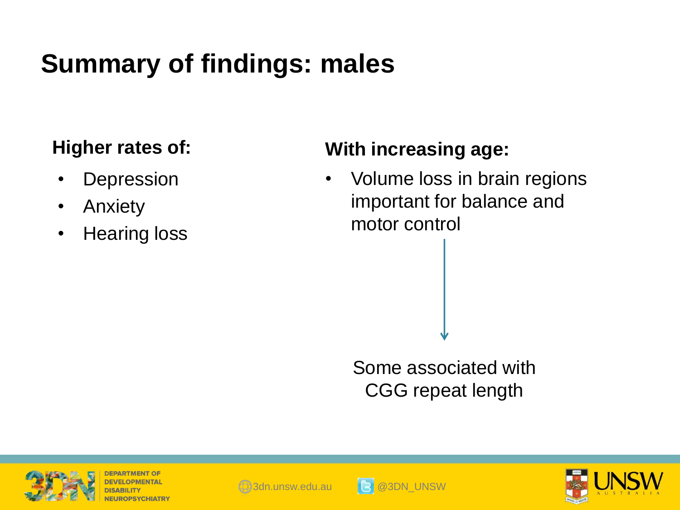# **Summary of findings: males**

### **Higher rates of:**

- **Depression**
- Anxiety
- Hearing loss

### **With increasing age:**

• Volume loss in brain regions important for balance and motor control

Some associated with CGG repeat length



DEPARTMENT





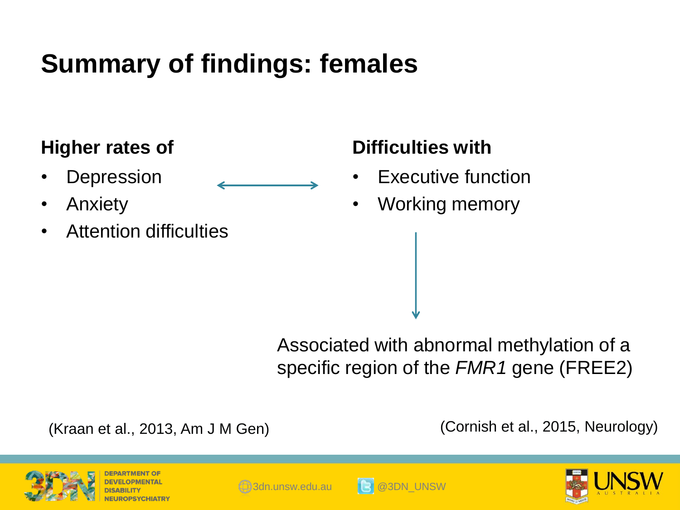# **Summary of findings: females**

#### **Higher rates of**

- **Depression**
- Anxiety
- Attention difficulties

#### **Difficulties with**

- **Executive function**
- Working memory

Associated with abnormal methylation of a specific region of the *FMR1* gene (FREE2)

(Kraan et al., 2013, Am J M Gen)

(Cornish et al., 2015, Neurology)







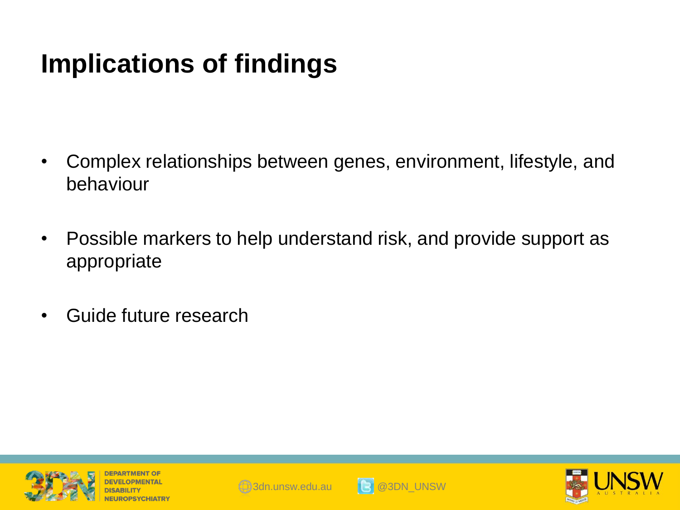## **Implications of findings**

- Complex relationships between genes, environment, lifestyle, and behaviour
- Possible markers to help understand risk, and provide support as appropriate
- Guide future research







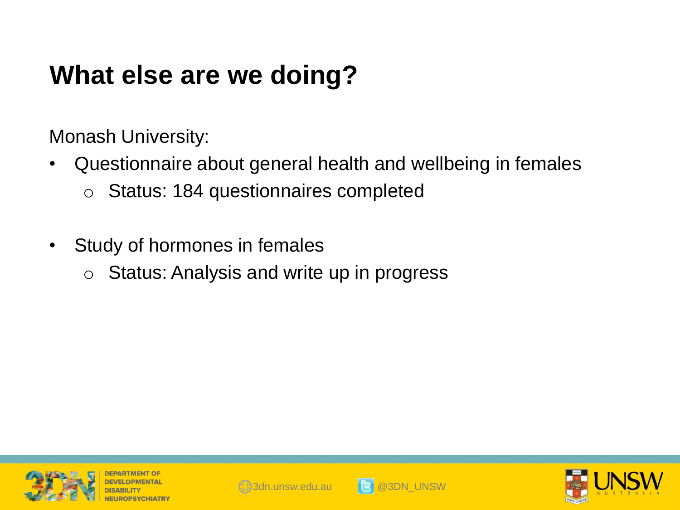## **What else are we doing?**

Monash University:

- Questionnaire about general health and wellbeing in females o Status: 184 questionnaires completed
- Study of hormones in females
	- $\circ$  Status: Analysis and write up in progress







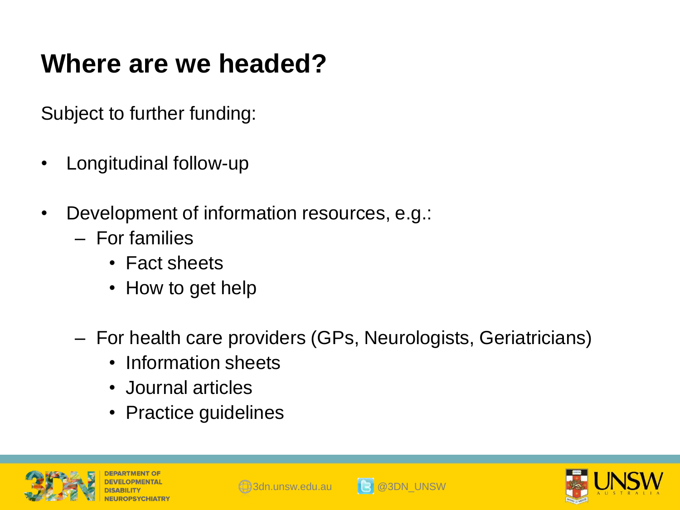### **Where are we headed?**

Subject to further funding:

- Longitudinal follow-up
- Development of information resources, e.g.:
	- For families
		- Fact sheets
		- How to get help
	- For health care providers (GPs, Neurologists, Geriatricians)
		- Information sheets
		- Journal articles
		- Practice guidelines